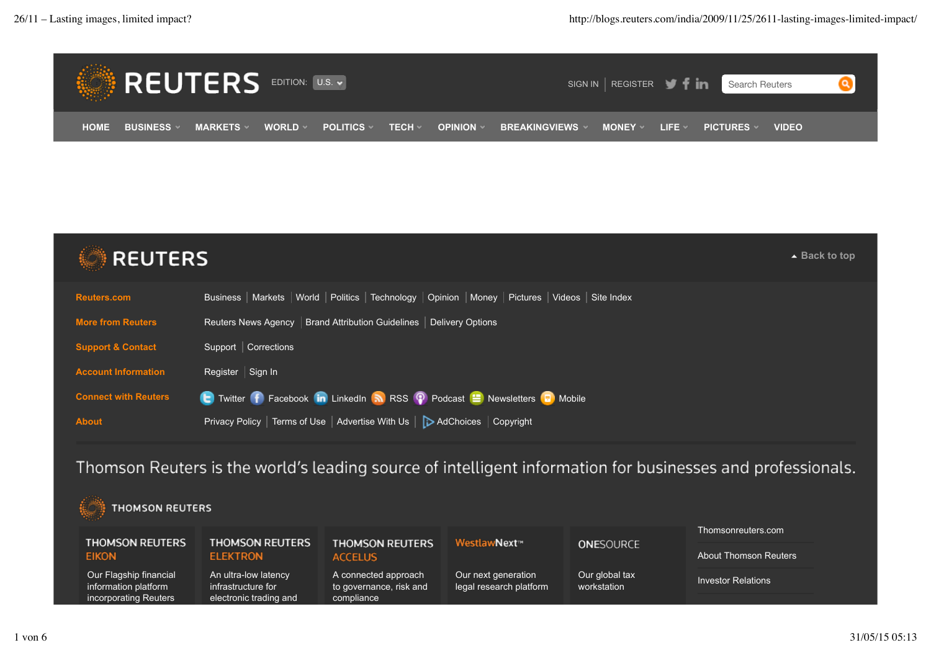



Thomson Reuters is the world's leading source of intelligent information for businesses and professionals.

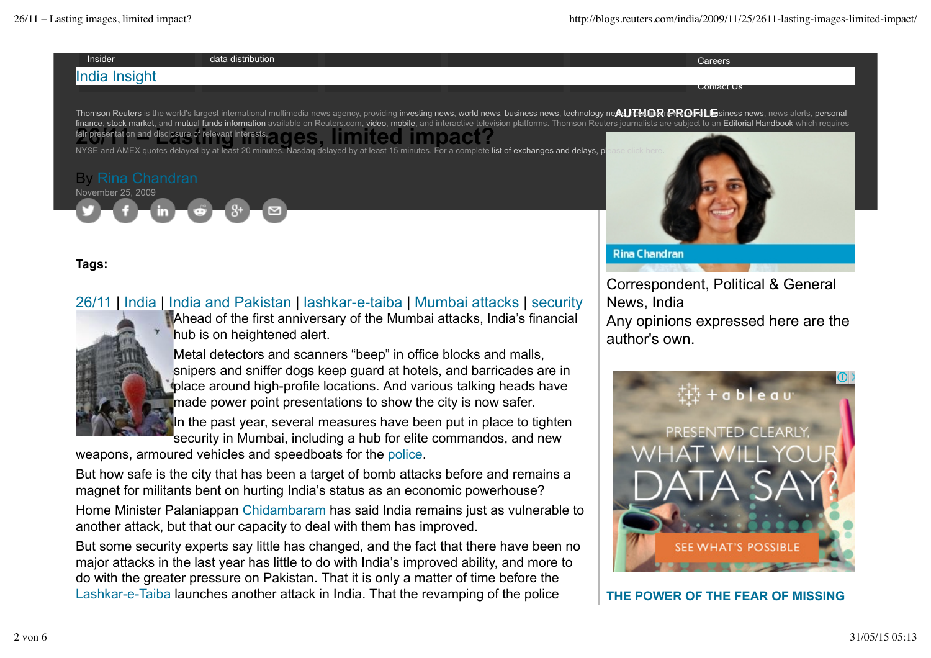

**Tags:**

## 26/11 | India | India and Pakistan | lashkar-e-taiba | Mumbai attacks | security



Ahead of the first anniversary of the Mumbai attacks, India's financial hub is on heightened alert.

Metal detectors and scanners "beep" in office blocks and malls, snipers and sniffer dogs keep guard at hotels, and barricades are in place around high-profile locations. And various talking heads have made power point presentations to show the city is now safer.

In the past year, several measures have been put in place to tighten security in Mumbai, including a hub for elite commandos, and new

weapons, armoured vehicles and speedboats for the police.

But how safe is the city that has been a target of bomb attacks before and remains a magnet for militants bent on hurting India's status as an economic powerhouse?

Home Minister Palaniappan Chidambaram has said India remains just as vulnerable to another attack, but that our capacity to deal with them has improved.

But some security experts say little has changed, and the fact that there have been no major attacks in the last year has little to do with India's improved ability, and more to do with the greater pressure on Pakistan. That it is only a matter of time before the Lashkar-e-Taiba launches another attack in India. That the revamping of the police

Correspondent, Political & General News, India Any opinions expressed here are the author's own.



**THE POWER OF THE FEAR OF MISSING**